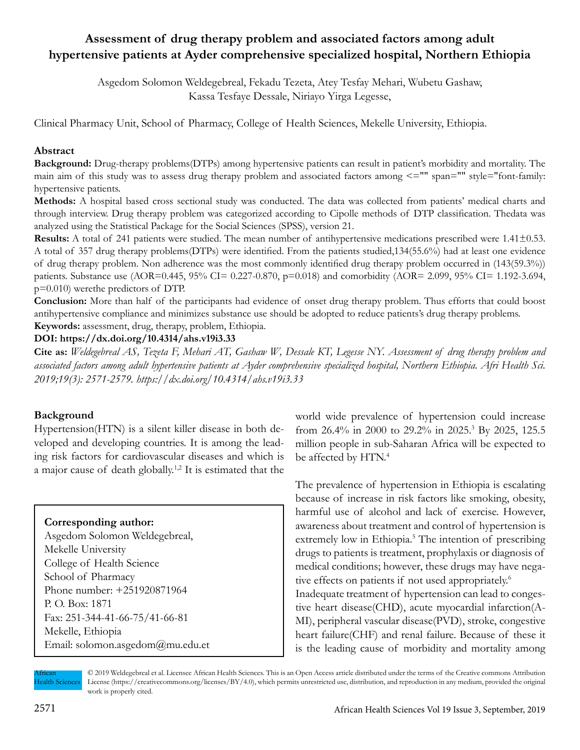# **Assessment of drug therapy problem and associated factors among adult hypertensive patients at Ayder comprehensive specialized hospital, Northern Ethiopia**

Asgedom Solomon Weldegebreal, Fekadu Tezeta, Atey Tesfay Mehari, Wubetu Gashaw, Kassa Tesfaye Dessale, Niriayo Yirga Legesse,

Clinical Pharmacy Unit, School of Pharmacy, College of Health Sciences, Mekelle University, Ethiopia.

#### **Abstract**

**Background:** Drug-therapy problems(DTPs) among hypertensive patients can result in patient's morbidity and mortality. The main aim of this study was to assess drug therapy problem and associated factors among <="" span="" style="font-family: hypertensive patients.

**Methods:** A hospital based cross sectional study was conducted. The data was collected from patients' medical charts and through interview. Drug therapy problem was categorized according to Cipolle methods of DTP classification. Thedata was analyzed using the Statistical Package for the Social Sciences (SPSS), version 21.

**Results:** A total of 241 patients were studied. The mean number of antihypertensive medications prescribed were 1.41±0.53. A total of 357 drug therapy problems(DTPs) were identified. From the patients studied,134(55.6%) had at least one evidence of drug therapy problem. Non adherence was the most commonly identified drug therapy problem occurred in (143(59.3%)) patients. Substance use (AOR=0.445, 95% CI= 0.227-0.870, p=0.018) and comorbidity (AOR= 2.099, 95% CI= 1.192-3.694, p=0.010) werethe predictors of DTP.

**Conclusion:** More than half of the participants had evidence of onset drug therapy problem. Thus efforts that could boost antihypertensive compliance and minimizes substance use should be adopted to reduce patients's drug therapy problems. **Keywords:** assessment, drug, therapy, problem, Ethiopia.

#### **DOI: https://dx.doi.org/10.4314/ahs.v19i3.33**

**Cite as:** *Weldegebreal AS, Tezeta F, Mehari AT, Gashaw W, Dessale KT, Legesse NY. Assessment of drug therapy problem and associated factors among adult hypertensive patients at Ayder comprehensive specialized hospital, Northern Ethiopia. Afri Health Sci. 2019;19(3): 2571-2579. https://dx.doi.org/10.4314/ahs.v19i3.33*

#### **Background**

Hypertension(HTN) is a silent killer disease in both developed and developing countries. It is among the leading risk factors for cardiovascular diseases and which is a major cause of death globally.1,2 It is estimated that the

#### **Corresponding author:**

Asgedom Solomon Weldegebreal, Mekelle University College of Health Science School of Pharmacy Phone number: +251920871964 P. O. Box: 1871 Fax: 251-344-41-66-75/41-66-81 Mekelle, Ethiopia Email: solomon.asgedom@mu.edu.et world wide prevalence of hypertension could increase from 26.4% in 2000 to 29.2% in 2025.<sup>3</sup> By 2025, 125.5 million people in sub-Saharan Africa will be expected to be affected by HTN.<sup>4</sup>

The prevalence of hypertension in Ethiopia is escalating because of increase in risk factors like smoking, obesity, harmful use of alcohol and lack of exercise. However, awareness about treatment and control of hypertension is extremely low in Ethiopia.<sup>5</sup> The intention of prescribing drugs to patients is treatment, prophylaxis or diagnosis of medical conditions; however, these drugs may have negative effects on patients if not used appropriately.<sup>6</sup>

Inadequate treatment of hypertension can lead to congestive heart disease(CHD), acute myocardial infarction(A-MI), peripheral vascular disease(PVD), stroke, congestive heart failure(CHF) and renal failure. Because of these it is the leading cause of morbidity and mortality among

African Health Sciences © 2019 Weldegebreal et al. Licensee African Health Sciences. This is an Open Access article distributed under the terms of the Creative commons Attribution License (https://creativecommons.org/licenses/BY/4.0), which permits unrestricted use, distribution, and reproduction in any medium, provided the original work is properly cited.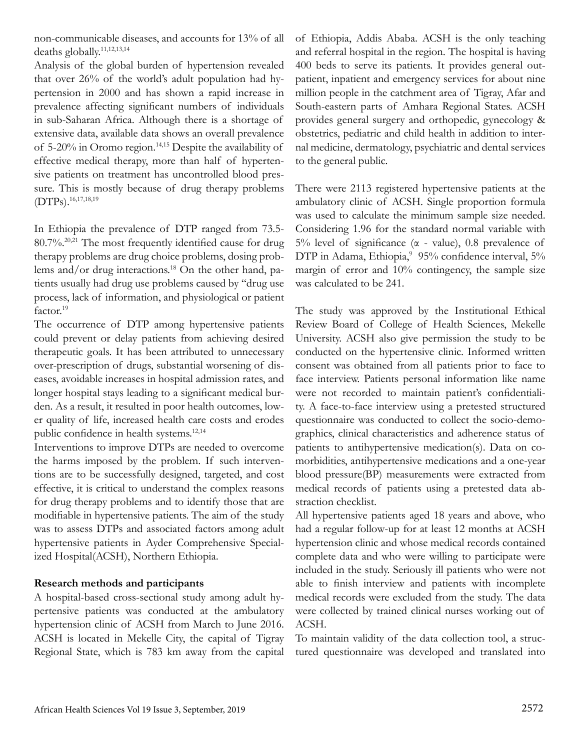non-communicable diseases, and accounts for 13% of all deaths globally.11,12,13,14

Analysis of the global burden of hypertension revealed that over 26% of the world's adult population had hypertension in 2000 and has shown a rapid increase in prevalence affecting significant numbers of individuals in sub-Saharan Africa. Although there is a shortage of extensive data, available data shows an overall prevalence of 5-20% in Oromo region.14,15 Despite the availability of effective medical therapy, more than half of hypertensive patients on treatment has uncontrolled blood pressure. This is mostly because of drug therapy problems (DTPs).16,17,18,19

In Ethiopia the prevalence of DTP ranged from 73.5- 80.7%.20,21 The most frequently identified cause for drug therapy problems are drug choice problems, dosing problems and/or drug interactions.<sup>18</sup> On the other hand, patients usually had drug use problems caused by "drug use process, lack of information, and physiological or patient factor.<sup>19</sup>

The occurrence of DTP among hypertensive patients could prevent or delay patients from achieving desired therapeutic goals. It has been attributed to unnecessary over-prescription of drugs, substantial worsening of diseases, avoidable increases in hospital admission rates, and longer hospital stays leading to a significant medical burden. As a result, it resulted in poor health outcomes, lower quality of life, increased health care costs and erodes public confidence in health systems.<sup>12,14</sup>

Interventions to improve DTPs are needed to overcome the harms imposed by the problem. If such interventions are to be successfully designed, targeted, and cost effective, it is critical to understand the complex reasons for drug therapy problems and to identify those that are modifiable in hypertensive patients. The aim of the study was to assess DTPs and associated factors among adult hypertensive patients in Ayder Comprehensive Specialized Hospital(ACSH), Northern Ethiopia.

#### **Research methods and participants**

A hospital-based cross-sectional study among adult hypertensive patients was conducted at the ambulatory hypertension clinic of ACSH from March to June 2016. ACSH is located in Mekelle City, the capital of Tigray Regional State, which is 783 km away from the capital of Ethiopia, Addis Ababa. ACSH is the only teaching and referral hospital in the region. The hospital is having 400 beds to serve its patients. It provides general outpatient, inpatient and emergency services for about nine million people in the catchment area of Tigray, Afar and South-eastern parts of Amhara Regional States. ACSH provides general surgery and orthopedic, gynecology & obstetrics, pediatric and child health in addition to internal medicine, dermatology, psychiatric and dental services to the general public.

There were 2113 registered hypertensive patients at the ambulatory clinic of ACSH. Single proportion formula was used to calculate the minimum sample size needed. Considering 1.96 for the standard normal variable with 5% level of significance (α - value), 0.8 prevalence of DTP in Adama, Ethiopia,<sup>9</sup> 95% confidence interval, 5% margin of error and 10% contingency, the sample size was calculated to be 241.

The study was approved by the Institutional Ethical Review Board of College of Health Sciences, Mekelle University. ACSH also give permission the study to be conducted on the hypertensive clinic. Informed written consent was obtained from all patients prior to face to face interview. Patients personal information like name were not recorded to maintain patient's confidentiality. A face-to-face interview using a pretested structured questionnaire was conducted to collect the socio-demographics, clinical characteristics and adherence status of patients to antihypertensive medication(s). Data on comorbidities, antihypertensive medications and a one-year blood pressure(BP) measurements were extracted from medical records of patients using a pretested data abstraction checklist.

All hypertensive patients aged 18 years and above, who had a regular follow-up for at least 12 months at ACSH hypertension clinic and whose medical records contained complete data and who were willing to participate were included in the study. Seriously ill patients who were not able to finish interview and patients with incomplete medical records were excluded from the study. The data were collected by trained clinical nurses working out of ACSH.

To maintain validity of the data collection tool, a structured questionnaire was developed and translated into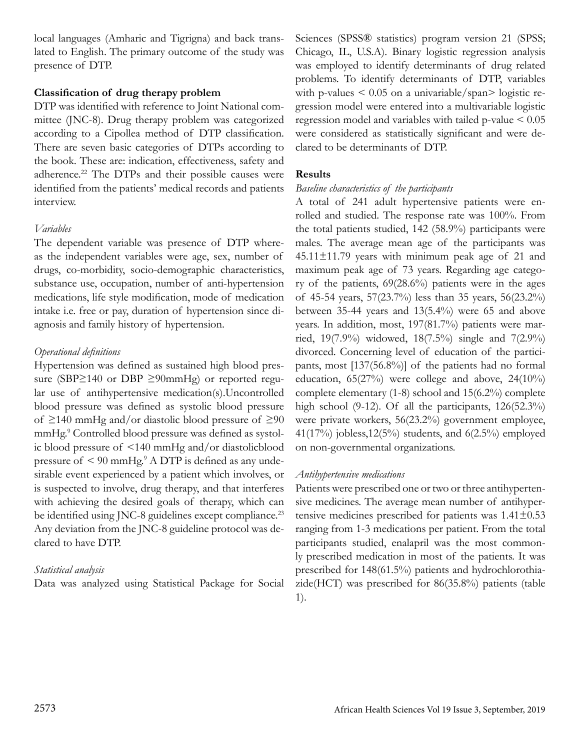local languages (Amharic and Tigrigna) and back translated to English. The primary outcome of the study was presence of DTP.

#### **Classification of drug therapy problem**

DTP was identified with reference to Joint National committee (JNC-8). Drug therapy problem was categorized according to a Cipollea method of DTP classification. There are seven basic categories of DTPs according to the book. These are: indication, effectiveness, safety and adherence.22 The DTPs and their possible causes were identified from the patients' medical records and patients interview.

### *Variables*

The dependent variable was presence of DTP whereas the independent variables were age, sex, number of drugs, co-morbidity, socio-demographic characteristics, substance use, occupation, number of anti-hypertension medications, life style modification, mode of medication intake i.e. free or pay, duration of hypertension since diagnosis and family history of hypertension.

## *Operational definitions*

Hypertension was defined as sustained high blood pressure (SBP≥140 or DBP ≥90mmHg) or reported regular use of antihypertensive medication(s).Uncontrolled blood pressure was defined as systolic blood pressure of ≥140 mmHg and/or diastolic blood pressure of ≥90 mmHg.<sup>9</sup> Controlled blood pressure was defined as systolic blood pressure of <140 mmHg and/or diastolicblood pressure of  $\leq 90$  mmHg.<sup>9</sup> A DTP is defined as any undesirable event experienced by a patient which involves, or is suspected to involve, drug therapy, and that interferes with achieving the desired goals of therapy, which can be identified using JNC-8 guidelines except compliance.<sup>23</sup> Any deviation from the JNC-8 guideline protocol was declared to have DTP.

# *Statistical analysis*

Data was analyzed using Statistical Package for Social

Sciences (SPSS® statistics) program version 21 (SPSS; Chicago, IL, U.S.A). Binary logistic regression analysis was employed to identify determinants of drug related problems. To identify determinants of DTP, variables with p-values  $\leq 0.05$  on a univariable/span> logistic regression model were entered into a multivariable logistic regression model and variables with tailed p-value < 0.05 were considered as statistically significant and were declared to be determinants of DTP.

# **Results**

### *Baseline characteristics of the participants*

A total of 241 adult hypertensive patients were enrolled and studied. The response rate was 100%. From the total patients studied, 142 (58.9%) participants were males. The average mean age of the participants was  $45.11 \pm 11.79$  years with minimum peak age of 21 and maximum peak age of 73 years. Regarding age category of the patients, 69(28.6%) patients were in the ages of 45-54 years, 57(23.7%) less than 35 years, 56(23.2%) between 35-44 years and 13(5.4%) were 65 and above years. In addition, most, 197(81.7%) patients were married, 19(7.9%) widowed, 18(7.5%) single and 7(2.9%) divorced. Concerning level of education of the participants, most [137(56.8%)] of the patients had no formal education, 65(27%) were college and above, 24(10%) complete elementary (1-8) school and 15(6.2%) complete high school (9-12). Of all the participants, 126(52.3%) were private workers, 56(23.2%) government employee, 41(17%) jobless,  $12(5\%)$  students, and  $6(2.5\%)$  employed on non-governmental organizations.

# *Antihypertensive medications*

Patients were prescribed one or two or three antihypertensive medicines. The average mean number of antihypertensive medicines prescribed for patients was 1.41±0.53 ranging from 1-3 medications per patient. From the total participants studied, enalapril was the most commonly prescribed medication in most of the patients. It was prescribed for 148(61.5%) patients and hydrochlorothiazide(HCT) was prescribed for 86(35.8%) patients (table 1).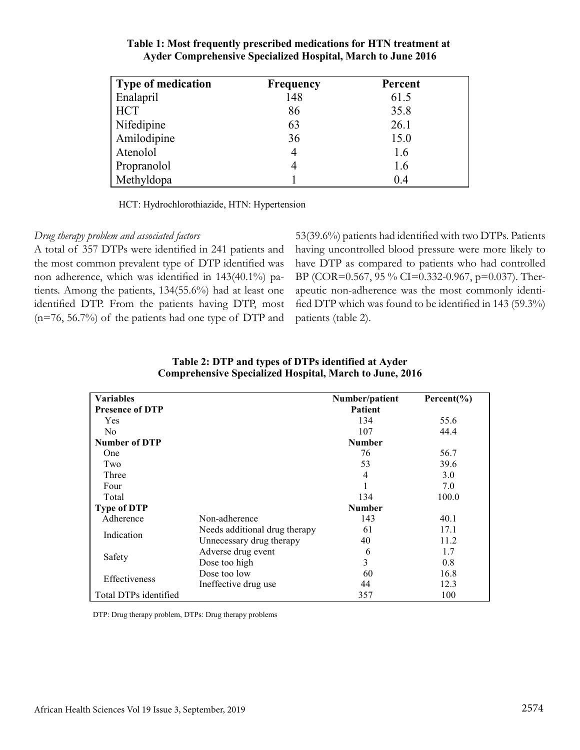| <b>Type of medication</b> | <b>Frequency</b> | Percent |
|---------------------------|------------------|---------|
| Enalapril                 | 148              | 61.5    |
| <b>HCT</b>                | 86               | 35.8    |
| Nifedipine                | 63               | 26.1    |
| Amilodipine               | 36               | 15.0    |
| Atenolol                  | $\overline{4}$   | 1.6     |
| Propranolol               | 4                | 1.6     |
| Methyldopa                |                  | 0.4     |

#### **Table 1: Most frequently prescribed medications for HTN treatment at Ayder Comprehensive Specialized Hospital, March to June 2016**

HCT: Hydrochlorothiazide, HTN: Hypertension

#### *Drug therapy problem and associated factors*

A total of 357 DTPs were identified in 241 patients and the most common prevalent type of DTP identified was non adherence, which was identified in 143(40.1%) patients. Among the patients, 134(55.6%) had at least one identified DTP. From the patients having DTP, most (n=76, 56.7%) of the patients had one type of DTP and

53(39.6%) patients had identified with two DTPs. Patients having uncontrolled blood pressure were more likely to have DTP as compared to patients who had controlled BP (COR=0.567, 95 % CI=0.332-0.967, p=0.037). Therapeutic non-adherence was the most commonly identified DTP which was found to be identified in 143 (59.3%) patients (table 2).

| <b>Variables</b>       |                               | Number/patient | Percent $(\% )$ |
|------------------------|-------------------------------|----------------|-----------------|
| <b>Presence of DTP</b> |                               | Patient        |                 |
| Yes                    |                               | 134            | 55.6            |
| N <sub>0</sub>         |                               | 107            | 44.4            |
| <b>Number of DTP</b>   |                               | <b>Number</b>  |                 |
| One                    |                               | 76             | 56.7            |
| Two                    |                               | 53             | 39.6            |
| Three                  |                               | 4              | 3.0             |
| Four                   |                               |                | 7.0             |
| Total                  |                               | 134            | 100.0           |
| <b>Type of DTP</b>     |                               | <b>Number</b>  |                 |
| Adherence              | Non-adherence                 | 143            | 40.1            |
| Indication             | Needs additional drug therapy | 61             | 17.1            |
|                        | Unnecessary drug therapy      | 40             | 11.2            |
| Safety                 | Adverse drug event            | 6              | 1.7             |
|                        | Dose too high                 | 3              | 0.8             |
| <b>Effectiveness</b>   | Dose too low                  | 60             | 16.8            |
|                        | Ineffective drug use          | 44             | 12.3            |
| Total DTPs identified  |                               | 357            | 100             |

**Table 2: DTP and types of DTPs identified at Ayder Comprehensive Specialized Hospital, March to June, 2016**

DTP: Drug therapy problem, DTPs: Drug therapy problems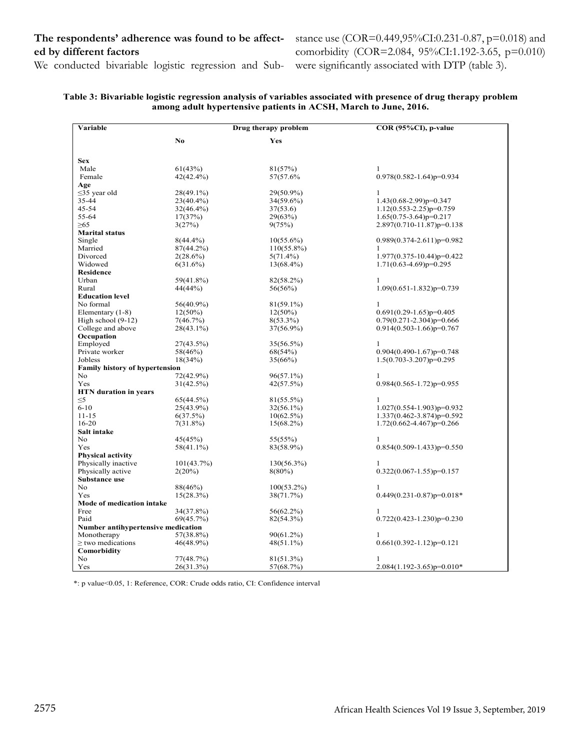### **The respondents' adherence was found to be affected by different factors**

stance use (COR=0.449,95%CI:0.231-0.87, p=0.018) and comorbidity (COR=2.084, 95%CI:1.192-3.65, p=0.010) were significantly associated with DTP (table 3).

We conducted bivariable logistic regression and Sub-

| Table 3: Bivariable logistic regression analysis of variables associated with presence of drug therapy problem |
|----------------------------------------------------------------------------------------------------------------|
| among adult hypertensive patients in ACSH, March to June, 2016.                                                |

| Variable                              | Drug therapy problem   |               | COR (95%CI), p-value             |  |
|---------------------------------------|------------------------|---------------|----------------------------------|--|
|                                       |                        |               |                                  |  |
|                                       | No.                    | Yes           |                                  |  |
|                                       |                        |               |                                  |  |
| <b>Sex</b>                            |                        |               |                                  |  |
| Male                                  | 61(43%)                | 81(57%)       | 1                                |  |
| Female                                | 42(42.4%)              | 57(57.6%)     | $0.978(0.582 - 1.64)p=0.934$     |  |
| Age                                   |                        |               |                                  |  |
| $\leq$ 35 year old                    | $28(49.1\%)$           | 29(50.9%)     | 1                                |  |
| 35-44                                 | $23(40.4\%)$           | $34(59.6\%)$  | $1.43(0.68-2.99)p=0.347$         |  |
| 45-54                                 | $32(46.4\%)$           | 37(53.6)      | $1.12(0.553 - 2.25)p = 0.759$    |  |
| 55-64                                 | 17(37%)                | 29(63%)       | 1.65(0.75-3.64)p=0.217           |  |
| ≥65                                   | 3(27%)                 | 9(75%)        | $2.897(0.710 - 11.87)p=0.138$    |  |
| <b>Marital status</b>                 |                        |               |                                  |  |
| Single                                | $8(44.4\%)$            | $10(55.6\%)$  | $0.989(0.374 - 2.611)p=0.982$    |  |
| Married                               | 87(44.2%)              | $110(55.8\%)$ |                                  |  |
| Divorced                              | $2(28.6\%)$            | $5(71.4\%)$   | $1.977(0.375 - 10.44) p = 0.422$ |  |
| Widowed                               | $6(31.6\%)$            | $13(68.4\%)$  | 1.71(0.63-4.69)p=0.295           |  |
| <b>Residence</b>                      |                        |               |                                  |  |
| Urban                                 | 59(41.8%)              | 82(58.2%)     | 1                                |  |
| Rural                                 | 44(44%)                | 56(56%)       | $1.09(0.651 - 1.832)p=0.739$     |  |
| <b>Education level</b>                |                        |               |                                  |  |
| No formal                             | 56(40.9%)              | $81(59.1\%)$  | 1                                |  |
| Elementary $(1-8)$                    | $12(50\%)$             | $12(50\%)$    | $0.691(0.29-1.65)p=0.405$        |  |
| High school $(9-12)$                  | 7(46.7%)               | $8(53.3\%)$   | $0.79(0.271 - 2.304) p = 0.666$  |  |
| College and above                     | $28(43.1\%)$           | 37(56.9%)     | $0.914(0.503 - 1.66) p = 0.767$  |  |
| Occupation                            |                        |               |                                  |  |
| Employed                              | 27(43.5%)              | $35(56.5\%)$  | 1                                |  |
| Private worker                        | 58(46%)                | 68(54%)       | $0.904(0.490-1.67)p=0.748$       |  |
| Jobless                               | 18(34%)                | 35(66%)       | $1.5(0.703 - 3.207)p=0.295$      |  |
| <b>Family history of hypertension</b> |                        |               |                                  |  |
| No                                    | 72(42.9%)              | $96(57.1\%)$  | 1                                |  |
| Yes                                   | 31(42.5%)              | 42(57.5%)     | $0.984(0.565 - 1.72)p = 0.955$   |  |
| <b>HTN</b> duration in years          |                        |               |                                  |  |
| $\leq 5$                              | 65(44.5%)              | $81(55.5\%)$  | 1                                |  |
| $6 - 10$                              | 25(43.9%)              | $32(56.1\%)$  | $1.027(0.554 - 1.903)p=0.932$    |  |
| $11 - 15$                             | 6(37.5%)               | $10(62.5\%)$  | $1.337(0.462 - 3.874)p=0.592$    |  |
| $16 - 20$                             | $7(31.8\%)$            | $15(68.2\%)$  | $1.72(0.662 - 4.467)p=0.266$     |  |
| Salt intake                           |                        |               |                                  |  |
| No                                    | 45(45%)                | 55(55%)       | 1                                |  |
| Yes                                   | $58(41.1\%)$           | 83(58.9%)     | $0.854(0.509 - 1.433)p=0.550$    |  |
| <b>Physical activity</b>              |                        |               |                                  |  |
| Physically inactive                   | 101(43.7%)             | 130(56.3%)    | 1                                |  |
| Physically active                     | 2(20%)                 | $8(80\%)$     | $0.322(0.067 - 1.55)p=0.157$     |  |
| Substance use                         |                        |               |                                  |  |
| No                                    | 88(46%)                | $100(53.2\%)$ | 1                                |  |
| Yes                                   | 15(28.3%)              | 38(71.7%)     | $0.449(0.231 - 0.87)p = 0.018*$  |  |
| Mode of medication intake             |                        |               |                                  |  |
| Free                                  |                        |               | 1                                |  |
| Paid                                  | 34(37.8%)<br>69(45.7%) | $56(62.2\%)$  | $0.722(0.423 - 1.230)p = 0.230$  |  |
|                                       |                        | 82(54.3%)     |                                  |  |
| Number antihypertensive medication    |                        |               |                                  |  |
| Monotherapy                           | 57(38.8%)              | $90(61.2\%)$  | 1                                |  |
| > two medications                     | 46(48.9%)              | $48(51.1\%)$  | $0.661(0.392 - 1.12)p = 0.121$   |  |
| Comorbidity                           |                        |               |                                  |  |
| No                                    | 77(48.7%)              | 81(51.3%)     | 1                                |  |
| Yes                                   | 26(31.3%)              | 57(68.7%)     | $2.084(1.192 - 3.65)p=0.010*$    |  |

\*: p value<0.05, 1: Reference, COR: Crude odds ratio, CI: Confidence interval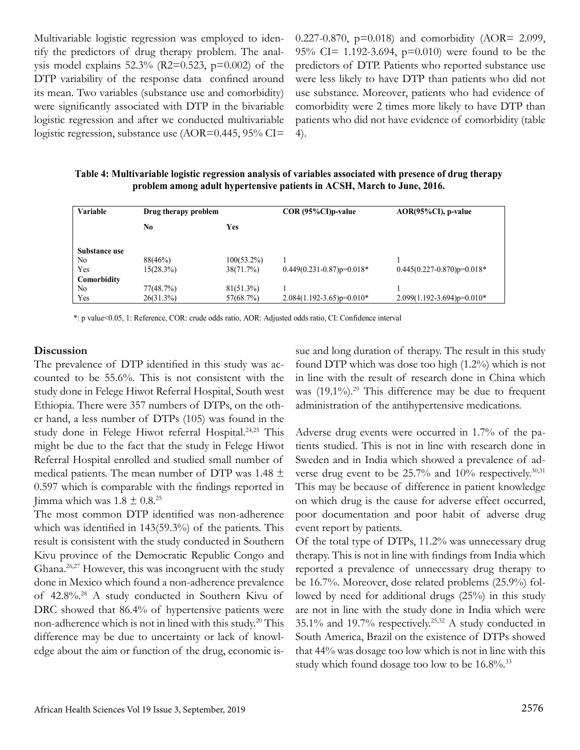Multivariable logistic regression was employed to identify the predictors of drug therapy problem. The analysis model explains  $52.3\%$  (R2=0.523, p=0.002) of the DTP variability of the response data confined around its mean. Two variables (substance use and comorbidity) were significantly associated with DTP in the bivariable logistic regression and after we conducted multivariable logistic regression, substance use (AOR=0.445, 95% CI=

0.227-0.870,  $p=0.018$ ) and comorbidity (AOR= 2.099, 95% CI= 1.192-3.694, p=0.010) were found to be the predictors of DTP. Patients who reported substance use were less likely to have DTP than patients who did not use substance. Moreover, patients who had evidence of comorbidity were 2 times more likely to have DTP than patients who did not have evidence of comorbidity (table 4).

**Table 4: Multivariable logistic regression analysis of variables associated with presence of drug therapy problem among adult hypertensive patients in ACSH, March to June, 2016.**

| Variable       | Drug therapy problem |               | COR (95%CI)p-value            | $AOR(95\%CI)$ , p-value        |
|----------------|----------------------|---------------|-------------------------------|--------------------------------|
|                | N <sub>0</sub>       | Yes           |                               |                                |
| Substance use  |                      |               |                               |                                |
| No             | 88(46%)              | $100(53.2\%)$ |                               |                                |
| Yes            | 15(28.3%)            | 38(71.7%)     | $0.449(0.231-0.87)p=0.018*$   | $0.445(0.227-0.870)p=0.018*$   |
| Comorbidity    |                      |               |                               |                                |
| N <sub>0</sub> | 77(48.7%)            | $81(51.3\%)$  |                               |                                |
| Yes            | 26(31.3%)            | 57(68.7%)     | $2.084(1.192 - 3.65)p=0.010*$ | $2.099(1.192 - 3.694)p=0.010*$ |

\*: p value<0.05, 1: Reference, COR: crude odds ratio, AOR: Adjusted odds ratio, CI: Confidence interval

#### **Discussion**

The prevalence of DTP identified in this study was accounted to be 55.6%. This is not consistent with the study done in Felege Hiwot Referral Hospital, South west Ethiopia. There were 357 numbers of DTPs, on the other hand, a less number of DTPs (105) was found in the study done in Felege Hiwot referral Hospital.24,25 This might be due to the fact that the study in Felege Hiwot Referral Hospital enrolled and studied small number of medical patients. The mean number of DTP was 1.48  $\pm$ 0.597 which is comparable with the findings reported in Jimma which was  $1.8 \pm 0.8$ <sup>25</sup>

The most common DTP identified was non-adherence which was identified in 143(59.3%) of the patients. This result is consistent with the study conducted in Southern Kivu province of the Democratic Republic Congo and Ghana.26,27 However, this was incongruent with the study done in Mexico which found a non-adherence prevalence of 42.8%.28 A study conducted in Southern Kivu of DRC showed that 86.4% of hypertensive patients were non-adherence which is not in lined with this study.20 This difference may be due to uncertainty or lack of knowledge about the aim or function of the drug, economic issue and long duration of therapy. The result in this study found DTP which was dose too high (1.2%) which is not in line with the result of research done in China which was  $(19.1\%)$ <sup>29</sup> This difference may be due to frequent administration of the antihypertensive medications.

Adverse drug events were occurred in 1.7% of the patients studied. This is not in line with research done in Sweden and in India which showed a prevalence of adverse drug event to be  $25.7\%$  and  $10\%$  respectively.<sup>30,31</sup> This may be because of difference in patient knowledge on which drug is the cause for adverse effect occurred, poor documentation and poor habit of adverse drug event report by patients.

Of the total type of DTPs, 11.2% was unnecessary drug therapy. This is not in line with findings from India which reported a prevalence of unnecessary drug therapy to be 16.7%. Moreover, dose related problems (25.9%) followed by need for additional drugs (25%) in this study are not in line with the study done in India which were 35.1% and 19.7% respectively.25,32 A study conducted in South America, Brazil on the existence of DTPs showed that 44% was dosage too low which is not in line with this study which found dosage too low to be 16.8%.<sup>33</sup>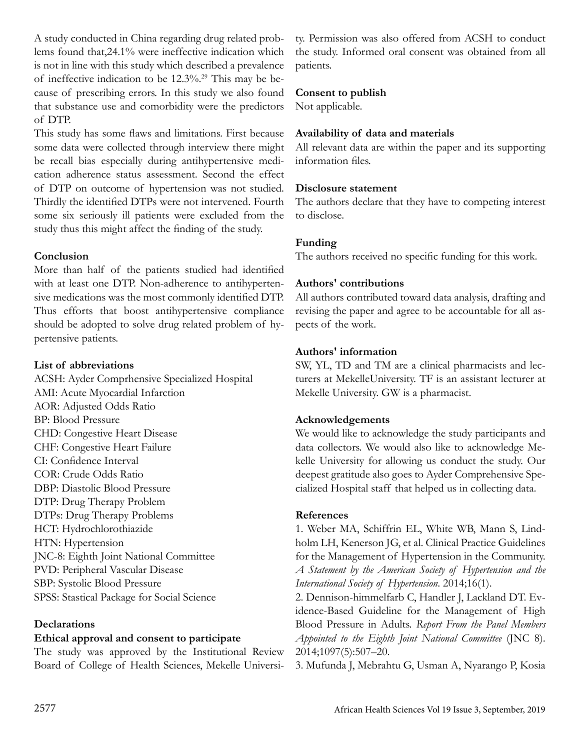A study conducted in China regarding drug related problems found that,24.1% were ineffective indication which is not in line with this study which described a prevalence of ineffective indication to be 12.3%.29 This may be because of prescribing errors. In this study we also found that substance use and comorbidity were the predictors of DTP.

This study has some flaws and limitations. First because some data were collected through interview there might be recall bias especially during antihypertensive medication adherence status assessment. Second the effect of DTP on outcome of hypertension was not studied. Thirdly the identified DTPs were not intervened. Fourth some six seriously ill patients were excluded from the study thus this might affect the finding of the study.

### **Conclusion**

More than half of the patients studied had identified with at least one DTP. Non-adherence to antihypertensive medications was the most commonly identified DTP. Thus efforts that boost antihypertensive compliance should be adopted to solve drug related problem of hypertensive patients.

### **List of abbreviations**

ACSH: Ayder Comprhensive Specialized Hospital AMI: Acute Myocardial Infarction AOR: Adjusted Odds Ratio BP: Blood Pressure CHD: Congestive Heart Disease CHF: Congestive Heart Failure CI: Confidence Interval COR: Crude Odds Ratio DBP: Diastolic Blood Pressure DTP: Drug Therapy Problem DTPs: Drug Therapy Problems HCT: Hydrochlorothiazide HTN: Hypertension JNC-8: Eighth Joint National Committee PVD: Peripheral Vascular Disease SBP: Systolic Blood Pressure SPSS: Stastical Package for Social Science

### **Declarations**

#### **Ethical approval and consent to participate**

The study was approved by the Institutional Review Board of College of Health Sciences, Mekelle Universi-

ty. Permission was also offered from ACSH to conduct the study. Informed oral consent was obtained from all patients.

### **Consent to publish**

Not applicable.

#### **Availability of data and materials**

All relevant data are within the paper and its supporting information files.

#### **Disclosure statement**

The authors declare that they have to competing interest to disclose.

### **Funding**

The authors received no specific funding for this work.

### **Authors' contributions**

All authors contributed toward data analysis, drafting and revising the paper and agree to be accountable for all aspects of the work.

### **Authors' information**

SW, YL, TD and TM are a clinical pharmacists and lecturers at MekelleUniversity. TF is an assistant lecturer at Mekelle University. GW is a pharmacist.

### **Acknowledgements**

We would like to acknowledge the study participants and data collectors. We would also like to acknowledge Mekelle University for allowing us conduct the study. Our deepest gratitude also goes to Ayder Comprehensive Specialized Hospital staff that helped us in collecting data.

### **References**

1. Weber MA, Schiffrin EL, White WB, Mann S, Lindholm LH, Kenerson JG, et al. Clinical Practice Guidelines for the Management of Hypertension in the Community. *A Statement by the American Society of Hypertension and the International Society of Hypertension*. 2014;16(1).

2. Dennison-himmelfarb C, Handler J, Lackland DT. Evidence-Based Guideline for the Management of High Blood Pressure in Adults. *Report From the Panel Members Appointed to the Eighth Joint National Committee* (JNC 8). 2014;1097(5):507–20.

3. Mufunda J, Mebrahtu G, Usman A, Nyarango P, Kosia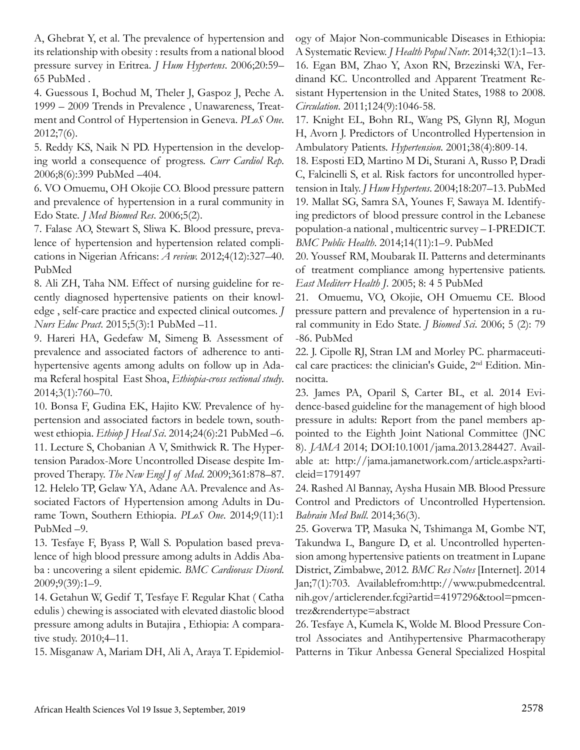A, Ghebrat Y, et al. The prevalence of hypertension and its relationship with obesity : results from a national blood pressure survey in Eritrea. *J Hum Hypertens*. 2006;20:59– 65 PubMed .

4. Guessous I, Bochud M, Theler J, Gaspoz J, Peche A. 1999 – 2009 Trends in Prevalence , Unawareness, Treatment and Control of Hypertension in Geneva. *PLoS One*. 2012;7(6).

5. Reddy KS, Naik N PD. Hypertension in the developing world a consequence of progress. *Curr Cardiol Rep*. 2006;8(6):399 PubMed –404.

6. VO Omuemu, OH Okojie CO. Blood pressure pattern and prevalence of hypertension in a rural community in Edo State. *J Med Biomed Res*. 2006;5(2).

7. Falase AO, Stewart S, Sliwa K. Blood pressure, prevalence of hypertension and hypertension related complications in Nigerian Africans: *A review.* 2012;4(12):327–40. PubMed

8. Ali ZH, Taha NM. Effect of nursing guideline for recently diagnosed hypertensive patients on their knowledge , self-care practice and expected clinical outcomes. *J Nurs Educ Pract*. 2015;5(3):1 PubMed –11.

9. Hareri HA, Gedefaw M, Simeng B. Assessment of prevalence and associated factors of adherence to antihypertensive agents among adults on follow up in Adama Referal hospital East Shoa, *Ethiopia-cross sectional study*. 2014;3(1):760–70.

10. Bonsa F, Gudina EK, Hajito KW. Prevalence of hypertension and associated factors in bedele town, southwest ethiopia. *Ethiop J Heal Sci*. 2014;24(6):21 PubMed –6. 11. Lecture S, Chobanian A V, Smithwick R. The Hypertension Paradox-More Uncontrolled Disease despite Improved Therapy. *The New Engl J of Med*. 2009;361:878–87. 12. Helelo TP, Gelaw YA, Adane AA. Prevalence and Associated Factors of Hypertension among Adults in Durame Town, Southern Ethiopia. *PLoS One*. 2014;9(11):1 PubMed –9.

13. Tesfaye F, Byass P, Wall S. Population based prevalence of high blood pressure among adults in Addis Ababa : uncovering a silent epidemic. *BMC Cardiovasc Disord*. 2009;9(39):1–9.

14. Getahun W, Gedif T, Tesfaye F. Regular Khat ( Catha edulis ) chewing is associated with elevated diastolic blood pressure among adults in Butajira , Ethiopia: A comparative study. 2010;4–11.

15. Misganaw A, Mariam DH, Ali A, Araya T. Epidemiol-

ogy of Major Non-communicable Diseases in Ethiopia: A Systematic Review. *J Health Popul Nutr.* 2014;32(1):1–13. 16. Egan BM, Zhao Y, Axon RN, Brzezinski WA, Ferdinand KC. Uncontrolled and Apparent Treatment Resistant Hypertension in the United States, 1988 to 2008. *Circulation*. 2011;124(9):1046-58.

17. Knight EL, Bohn RL, Wang PS, Glynn RJ, Mogun H, Avorn J. Predictors of Uncontrolled Hypertension in Ambulatory Patients. *Hypertension*. 2001;38(4):809-14.

18. Esposti ED, Martino M Di, Sturani A, Russo P, Dradi C, Falcinelli S, et al. Risk factors for uncontrolled hypertension in Italy. *J Hum Hypertens*. 2004;18:207–13. PubMed 19. Mallat SG, Samra SA, Younes F, Sawaya M. Identifying predictors of blood pressure control in the Lebanese population-a national , multicentric survey – I-PREDICT. *BMC Public Health*. 2014;14(11):1–9. PubMed

20. Youssef RM, Moubarak II. Patterns and determinants of treatment compliance among hypertensive patients. *East Mediterr Health J*. 2005; 8: 4 5 PubMed

21. Omuemu, VO, Okojie, OH Omuemu CE. Blood pressure pattern and prevalence of hypertension in a rural community in Edo State. *J Biomed Sci*. 2006; 5 (2): 79 -86. PubMed

22. J. Cipolle RJ, Stran LM and Morley PC. pharmaceutical care practices: the clinician's Guide, 2nd Edition. Minnocitta.

23. James PA, Oparil S, Carter BL, et al. 2014 Evidence-based guideline for the management of high blood pressure in adults: Report from the panel members appointed to the Eighth Joint National Committee (JNC 8). *JAMA* 2014; DOI:10.1001/jama.2013.284427. Available at: http://jama.jamanetwork.com/article.aspx?articleid=1791497

24. Rashed Al Bannay, Aysha Husain MB. Blood Pressure Control and Predictors of Uncontrolled Hypertension. *Bahrain Med Bull*. 2014;36(3).

25. Goverwa TP, Masuka N, Tshimanga M, Gombe NT, Takundwa L, Bangure D, et al. Uncontrolled hypertension among hypertensive patients on treatment in Lupane District, Zimbabwe, 2012. *BMC Res Notes* [Internet]. 2014 Jan;7(1):703. Availablefrom:http://www.pubmedcentral. nih.gov/articlerender.fcgi?artid=4197296&tool=pmcentrez&rendertype=abstract

26. Tesfaye A, Kumela K, Wolde M. Blood Pressure Control Associates and Antihypertensive Pharmacotherapy Patterns in Tikur Anbessa General Specialized Hospital